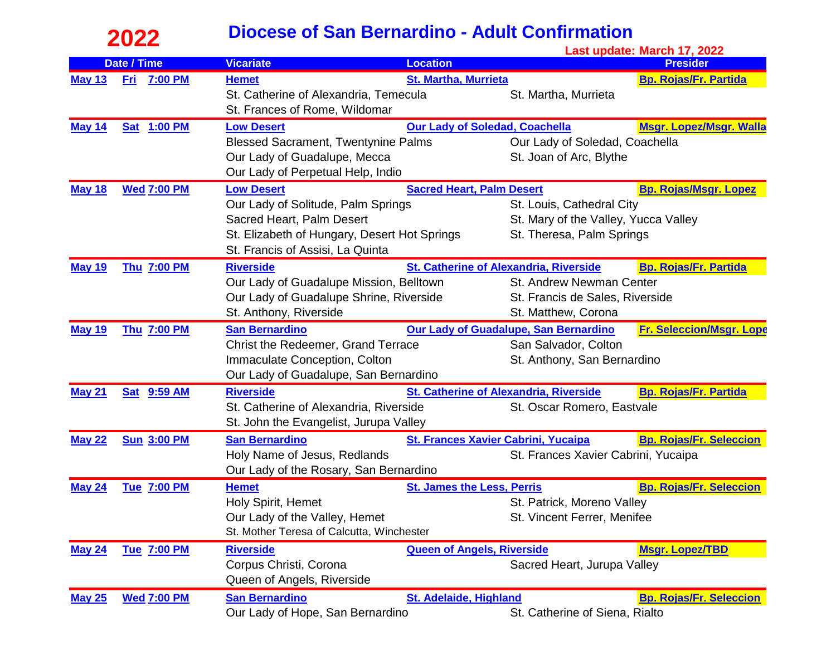## **2022 Last Update: March 17, 2022**<br>Last update: March 17, 2022

|               |                       |                                              |                                            | Last update: March 17, 2022                                                   |                                |  |
|---------------|-----------------------|----------------------------------------------|--------------------------------------------|-------------------------------------------------------------------------------|--------------------------------|--|
|               | <b>Date / Time</b>    | <b>Vicariate</b>                             | <b>Location</b>                            |                                                                               | <b>Presider</b>                |  |
| <b>May 13</b> | <b>7:00 PM</b><br>Fri | <b>Hemet</b>                                 | <b>St. Martha, Murrieta</b>                |                                                                               | <b>Bp. Rojas/Fr. Partida</b>   |  |
|               |                       | St. Catherine of Alexandria, Temecula        |                                            | St. Martha, Murrieta                                                          |                                |  |
|               |                       | St. Frances of Rome, Wildomar                |                                            |                                                                               |                                |  |
| <b>May 14</b> | <b>Sat 1:00 PM</b>    | <b>Low Desert</b>                            |                                            | <b>Our Lady of Soledad, Coachella</b><br><b>Msgr. Lopez/Msgr. Walla</b>       |                                |  |
|               |                       | <b>Blessed Sacrament, Twentynine Palms</b>   |                                            | Our Lady of Soledad, Coachella                                                |                                |  |
|               |                       | Our Lady of Guadalupe, Mecca                 |                                            | St. Joan of Arc, Blythe                                                       |                                |  |
|               |                       | Our Lady of Perpetual Help, Indio            |                                            |                                                                               |                                |  |
| <b>May 18</b> | <b>Wed 7:00 PM</b>    | <b>Low Desert</b>                            | <b>Sacred Heart, Palm Desert</b>           | <b>Bp. Rojas/Msgr. Lopez</b>                                                  |                                |  |
|               |                       | Our Lady of Solitude, Palm Springs           |                                            | St. Louis, Cathedral City                                                     |                                |  |
|               |                       | Sacred Heart, Palm Desert                    |                                            | St. Mary of the Valley, Yucca Valley                                          |                                |  |
|               |                       | St. Elizabeth of Hungary, Desert Hot Springs |                                            | St. Theresa, Palm Springs                                                     |                                |  |
|               |                       | St. Francis of Assisi, La Quinta             |                                            |                                                                               |                                |  |
| <b>May 19</b> | Thu 7:00 PM           | <b>Riverside</b>                             |                                            | St. Catherine of Alexandria, Riverside<br><b>Bp. Rojas/Fr. Partida</b>        |                                |  |
|               |                       | Our Lady of Guadalupe Mission, Belltown      |                                            | St. Andrew Newman Center                                                      |                                |  |
|               |                       | Our Lady of Guadalupe Shrine, Riverside      |                                            | St. Francis de Sales, Riverside                                               |                                |  |
|               |                       | St. Anthony, Riverside                       |                                            | St. Matthew, Corona                                                           |                                |  |
| <b>May 19</b> | <b>Thu 7:00 PM</b>    | <b>San Bernardino</b>                        |                                            | <b>Our Lady of Guadalupe, San Bernardino</b>                                  | Fr. Seleccion/Msgr. Lope       |  |
|               |                       | Christ the Redeemer, Grand Terrace           |                                            | San Salvador, Colton                                                          |                                |  |
|               |                       | Immaculate Conception, Colton                |                                            | St. Anthony, San Bernardino                                                   |                                |  |
|               |                       | Our Lady of Guadalupe, San Bernardino        |                                            |                                                                               |                                |  |
| <b>May 21</b> | <b>Sat 9:59 AM</b>    | <b>Riverside</b>                             |                                            | <b>St. Catherine of Alexandria, Riverside</b><br><b>Bp. Rojas/Fr. Partida</b> |                                |  |
|               |                       | St. Catherine of Alexandria, Riverside       |                                            | St. Oscar Romero, Eastvale                                                    |                                |  |
|               |                       | St. John the Evangelist, Jurupa Valley       |                                            |                                                                               |                                |  |
| <b>May 22</b> | <b>Sun 3:00 PM</b>    | <b>San Bernardino</b>                        | <b>St. Frances Xavier Cabrini, Yucaipa</b> |                                                                               | <b>Bp. Rojas/Fr. Seleccion</b> |  |
|               |                       | Holy Name of Jesus, Redlands                 |                                            | St. Frances Xavier Cabrini, Yucaipa                                           |                                |  |
|               |                       | Our Lady of the Rosary, San Bernardino       |                                            |                                                                               |                                |  |
| <b>May 24</b> | <b>Tue 7:00 PM</b>    | <b>Hemet</b>                                 | <b>St. James the Less, Perris</b>          |                                                                               | <b>Bp. Rojas/Fr. Seleccion</b> |  |
|               |                       | Holy Spirit, Hemet                           |                                            | St. Patrick, Moreno Valley                                                    |                                |  |
|               |                       | Our Lady of the Valley, Hemet                |                                            | St. Vincent Ferrer, Menifee                                                   |                                |  |
|               |                       | St. Mother Teresa of Calcutta, Winchester    |                                            |                                                                               |                                |  |
| <b>May 24</b> | <b>Tue 7:00 PM</b>    | <b>Riverside</b>                             | <b>Queen of Angels, Riverside</b>          |                                                                               | <b>Msgr. Lopez/TBD</b>         |  |
|               |                       | Corpus Christi, Corona                       |                                            | Sacred Heart, Jurupa Valley                                                   |                                |  |
|               |                       | Queen of Angels, Riverside                   |                                            |                                                                               |                                |  |
| <b>May 25</b> | <b>Wed 7:00 PM</b>    | <b>San Bernardino</b>                        | <b>St. Adelaide, Highland</b>              |                                                                               | <b>Bp. Rojas/Fr. Seleccion</b> |  |
|               |                       | Our Lady of Hope, San Bernardino             |                                            | St. Catherine of Siena, Rialto                                                |                                |  |